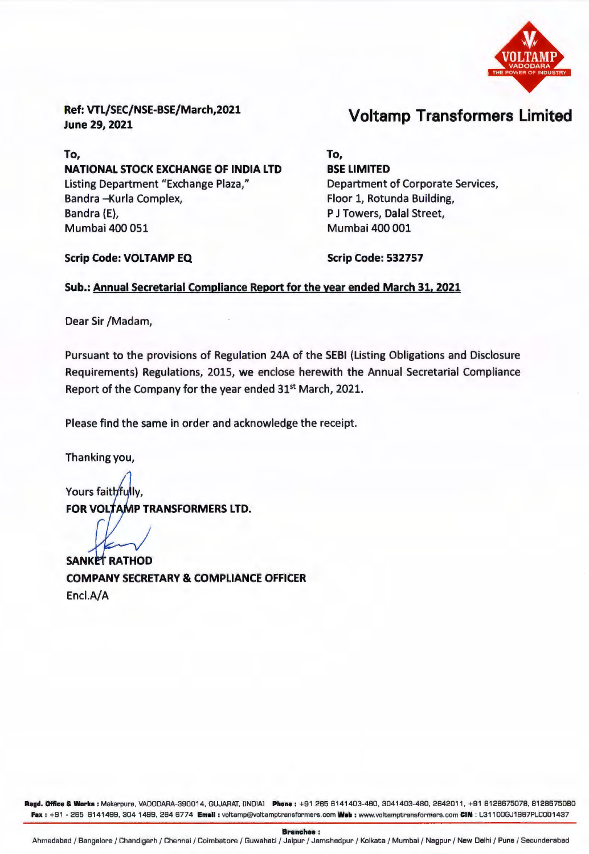

Ref: VTL/SEC/NSE-BSE/March,2021 June 29, 2021

To, NATIONAL STOCK EXCHANGE OF INDIA LTD Listing Department "Exchange Plaza," Bandra -Kurla Complex, Bandra (E), Mumbai 400 051

Voltamp Transformers Limited

To, BSE LIMITED Department of Corporate Services, Floor 1, Rotunda Building, P J Towers, Dalal Street, Mumbai 400 001

Scrip Code: VOLTAMP EQ

Scrip Code: 532757

## Sub.: Annual Secretarial Compliance Report for the year ended March 31, 2021

Dear Sir /Madam,

Pursuant to the provisions of Regulation 24A of the SEBI (Listing Obligations and Disclosure Requirements) Regulations, 2015, we enclose herewith the Annual Secretarial Compliance Report of the Company for the year ended 31st March, 2021.

Please find the same in order and acknowledge the receipt.

Thanking you,

Yours faithfully, FOR VOLTAMP TRANSFORMERS LTD.

**SANKET RATHOD** COMPANY SECRETARY & COMPLIANCE OFFICER Encl.A/A

Regd. Office & Works : Makarpura, VADODARA-390014, GUJARAT, [INDIA] Phone : +91 265 6141403-480, 3041403-480, 2642011, +91 8128675078, 8128675080 Fax: +91 - 265 6141499, 304 1499, 264 6774 Email: voltamp@voltamptransformers.com Web: www.voltamptransformers.com CIN : L31100GJ1987PLC001437

Branches: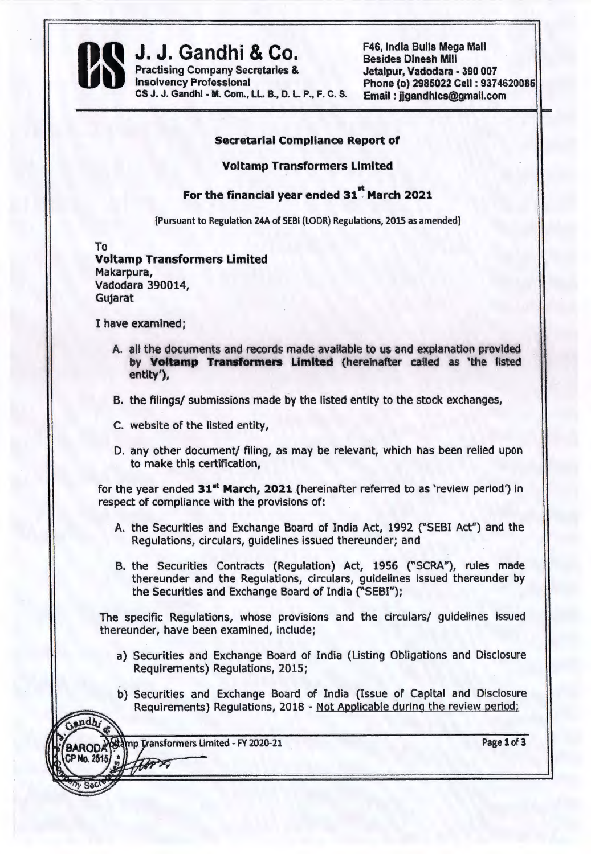

CS J. J. Gandhi - M. Com., LL. B., D. L. P., F. C. S. Email: jjgandhics@gmail.com

**J. J. Gandhi & Co.** F46, India Bulls Mega Mall<br>Practising Company Secretaries & Insolvency Professional Phone (o) 2985022 Cell : 9374620085

## Secretarial Compliance Report of

Voltamp Transformers Limited

For the financial year ended 31" March 2021

[Pursuant to Regulation 24A of SEBI (LODR) Regulations, 2015 as amended]

To Voltamp Transformers Limited Makarpura, Vadodara 390014, Gujarat

I have examined;

- A. all the documents and records made available to us and explanation provided by Voltamp Transformers Limited (hereinafter called as 'the listed entity'),
- B. the filings/ submissions made by the listed entity to the stock exchanges,
- C. website of the listed entity,
- D. any other document/ filing, as may be relevant, which has been relied upon to make this certification,

for the year ended 31<sup>st</sup> March, 2021 (hereinafter referred to as 'review period') in respect of compliance with the provisions of:

- A. the Securities and Exchange Board of India Act, 1992 ("SEBI Act") and the Regulations, circulars, guidelines issued thereunder; and
- B. the Securities Contracts (Regulation) Act, 1956 ("SCRA"), rules made thereunder and the Regulations, circulars, guidelines issued thereunder by the Securities and Exchange Board of India {"SEBI");

The specific Regulations, whose provisions and the circulars/ guidelines issued thereunder, have been examined, include;

- a) Securities and Exchange Board of India (Listing Obligations and Disclosure Requirements) Regulations, 2015;
- b) Securities and Exchange Board of India (Issue of Capital and Disclosure Requirements) Regulations, 2018 - Not Applicable during the review period:

mp Transformers Limited - FY 2020-21

TAPA

Gandh

**BARODA** CP No. 2515 Page 1 of 3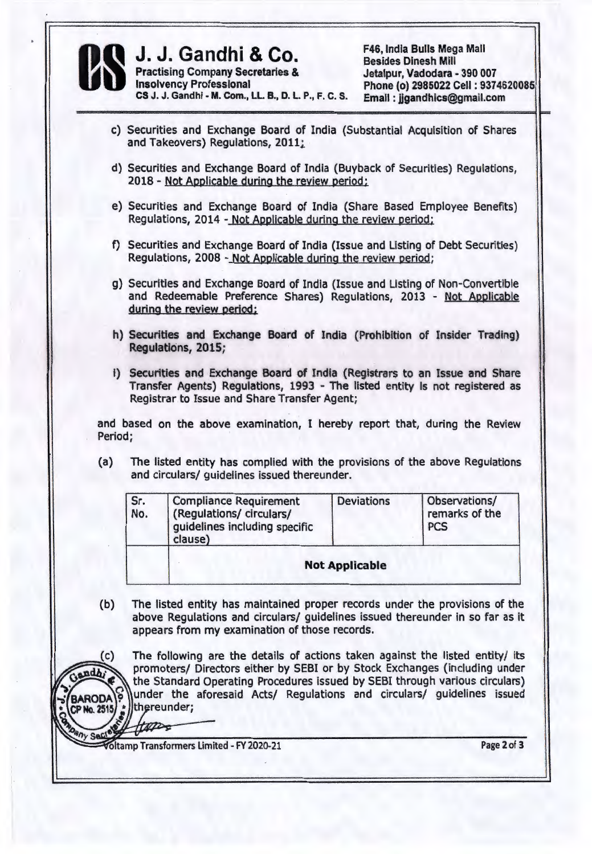

CS J. J. Gandhi - M. Com., LL. B., D. L. P., F. C. S.

**J. J. Gandhi & Co.** F46, India Bulls Mega Mall<br>
Practising Company Secretaries & Jetalpur, Vadodara - 390 007<br>
Insolvency Professional Phone (o) 2985022 Cell : 9374 Phone (o) 2985022 Cell: 9374620085 Email: jigandhics@gmail.com

c) Securities and Exchange Board of India (Substantial Acquisition of Shares and Takeovers) Regulations, 2011;

===-== .............. =============--....... -=-....... --=====================-....... =============~=

- d) Securities and Exchange Board of India (Buyback of Securities) Regulations, 2018 - Not Applicable during the review period;
- e) Securities and Exchange Board of India (Share Based Employee Benefits) Regulations, 2014 - Not Applicable during the review period;
- f) Securities and Exchange Board of India (Issue and Listing of Debt Securities) Regulations, 2008 - Not Applicable during the review period;
- g) Securities and Exchange Board of India (Issue and Listing of Non-Convertible and Redeemable Preference Shares) Regulations, 2013 - Not Applicable during the review period;
- h) Securities and Exchange Board of India (Prohibition of Insider Trading) Regulations, 2015;
- i) Securities and Exchange Board of India (Registrars to an Issue and Share Transfer Agents) Regulations, 1993 - The listed entity is not registered as Registrar to Issue and Share Transfer Agent;

and based on the above examination, I hereby report that, during the Review Period;

(a) The listed entity has complied with the provisions of the above Regulations and circulars/ guidelines issued thereunder.

| Sr.<br>No. | <b>Compliance Requirement</b><br>(Regulations/ circulars/<br>guidelines including specific<br>clause) | <b>Deviations</b>     | Observations/<br>remarks of the<br><b>PCS</b> |
|------------|-------------------------------------------------------------------------------------------------------|-----------------------|-----------------------------------------------|
|            |                                                                                                       | <b>Not Applicable</b> |                                               |

(b) The listed entity has maintained proper records under the provisions of the above Regulations and circulars/ guidelines issued thereunder in so far as it appears from my examination of those records.

(c) The following are the details of actions taken against the listed entity/ its promoters/ Directors either by SEBI or by Stock Exchanges (including under promoters/ Directors either by SEBI or by Stock Exchanges (including under rada)<br>the Standard Operating Procedures issued by SEBI through various circulars) BARODA<sup>C</sup> under the aforesaid Acts/ Regulations and circulars/ guidelines issued  $CP$ No. 2515 $\frac{1}{2}$ ||thereunder; 8 comme const form

 $n_y$  Sec! • oltamp Transformers Limited - FY 2020-21 Page 2 of 3

 $\mathcal{L}$